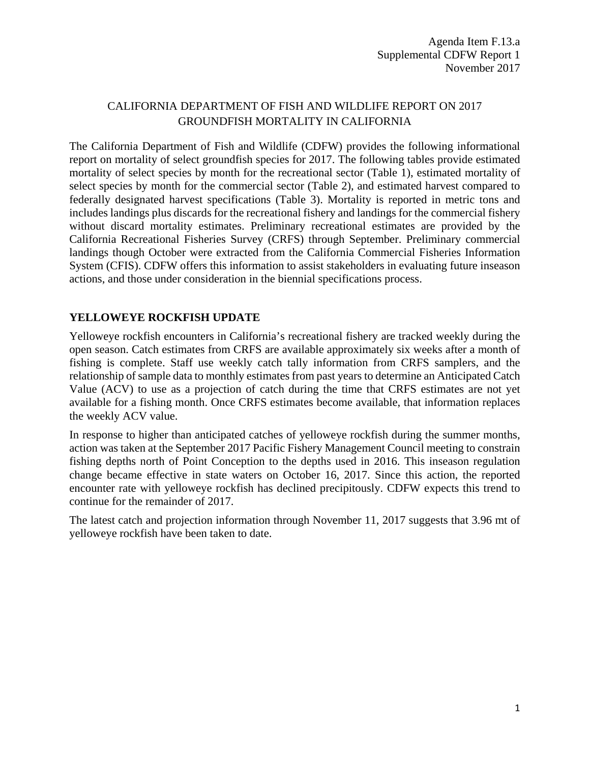## CALIFORNIA DEPARTMENT OF FISH AND WILDLIFE REPORT ON 2017 GROUNDFISH MORTALITY IN CALIFORNIA

The California Department of Fish and Wildlife (CDFW) provides the following informational report on mortality of select groundfish species for 2017. The following tables provide estimated mortality of select species by month for the recreational sector [\(Table 1\)](#page-1-0), estimated mortality of select species by month for the commercial sector [\(Table 2\)](#page-2-0), and estimated harvest compared to federally designated harvest specifications [\(Table 3\)](#page-3-0). Mortality is reported in metric tons and includes landings plus discards for the recreational fishery and landings for the commercial fishery without discard mortality estimates. Preliminary recreational estimates are provided by the California Recreational Fisheries Survey (CRFS) through September. Preliminary commercial landings though October were extracted from the California Commercial Fisheries Information System (CFIS). CDFW offers this information to assist stakeholders in evaluating future inseason actions, and those under consideration in the biennial specifications process.

## **YELLOWEYE ROCKFISH UPDATE**

Yelloweye rockfish encounters in California's recreational fishery are tracked weekly during the open season. Catch estimates from CRFS are available approximately six weeks after a month of fishing is complete. Staff use weekly catch tally information from CRFS samplers, and the relationship of sample data to monthly estimates from past years to determine an Anticipated Catch Value (ACV) to use as a projection of catch during the time that CRFS estimates are not yet available for a fishing month. Once CRFS estimates become available, that information replaces the weekly ACV value.

In response to higher than anticipated catches of yelloweye rockfish during the summer months, action was taken at the September 2017 Pacific Fishery Management Council meeting to constrain fishing depths north of Point Conception to the depths used in 2016. This inseason regulation change became effective in state waters on October 16, 2017. Since this action, the reported encounter rate with yelloweye rockfish has declined precipitously. CDFW expects this trend to continue for the remainder of 2017.

The latest catch and projection information through November 11, 2017 suggests that 3.96 mt of yelloweye rockfish have been taken to date.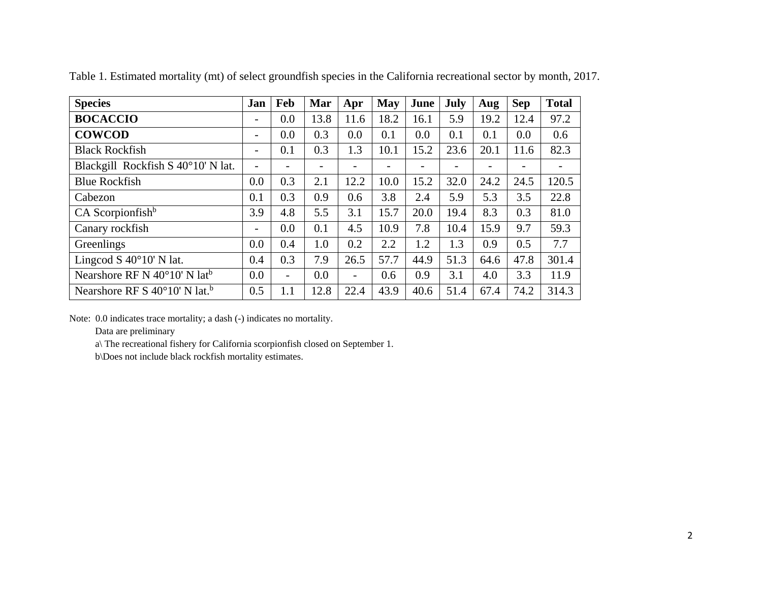| <b>Species</b>                                     | Jan                      | Feb                      | Mar  | Apr                      | May  | June | July | Aug  | <b>Sep</b> | <b>Total</b> |
|----------------------------------------------------|--------------------------|--------------------------|------|--------------------------|------|------|------|------|------------|--------------|
| <b>BOCACCIO</b>                                    | -                        | 0.0                      | 13.8 | 11.6                     | 18.2 | 16.1 | 5.9  | 19.2 | 12.4       | 97.2         |
| <b>COWCOD</b>                                      | $\overline{\phantom{0}}$ | 0.0                      | 0.3  | 0.0                      | 0.1  | 0.0  | 0.1  | 0.1  | 0.0        | 0.6          |
| <b>Black Rockfish</b>                              | $\qquad \qquad -$        | 0.1                      | 0.3  | 1.3                      | 10.1 | 15.2 | 23.6 | 20.1 | 11.6       | 82.3         |
| Blackgill Rockfish S 40°10' N lat.                 | $\qquad \qquad -$        |                          |      |                          |      |      |      |      |            |              |
| <b>Blue Rockfish</b>                               | 0.0                      | 0.3                      | 2.1  | 12.2                     | 10.0 | 15.2 | 32.0 | 24.2 | 24.5       | 120.5        |
| Cabezon                                            | 0.1                      | 0.3                      | 0.9  | 0.6                      | 3.8  | 2.4  | 5.9  | 5.3  | 3.5        | 22.8         |
| $CA$ Scorpionfish <sup>b</sup>                     | 3.9                      | 4.8                      | 5.5  | 3.1                      | 15.7 | 20.0 | 19.4 | 8.3  | 0.3        | 81.0         |
| Canary rockfish                                    | $\qquad \qquad -$        | 0.0                      | 0.1  | 4.5                      | 10.9 | 7.8  | 10.4 | 15.9 | 9.7        | 59.3         |
| Greenlings                                         | 0.0                      | 0.4                      | 1.0  | 0.2                      | 2.2  | 1.2  | 1.3  | 0.9  | 0.5        | 7.7          |
| Lingcod S $40^{\circ}10'$ N lat.                   | 0.4                      | 0.3                      | 7.9  | 26.5                     | 57.7 | 44.9 | 51.3 | 64.6 | 47.8       | 301.4        |
| Nearshore RF N $40^{\circ}10'$ N $1at^b$           | 0.0                      | $\overline{\phantom{0}}$ | 0.0  | $\overline{\phantom{a}}$ | 0.6  | 0.9  | 3.1  | 4.0  | 3.3        | 11.9         |
| Nearshore RF S $40^{\circ}10'$ N lat. <sup>b</sup> | 0.5                      | 1.1                      | 12.8 | 22.4                     | 43.9 | 40.6 | 51.4 | 67.4 | 74.2       | 314.3        |

Table 1. Estimated mortality (mt) of select groundfish species in the California recreational sector by month, 2017.

<span id="page-1-0"></span>Note: 0.0 indicates trace mortality; a dash (-) indicates no mortality.

Data are preliminary

a\ The recreational fishery for California scorpionfish closed on September 1.

b\Does not include black rockfish mortality estimates.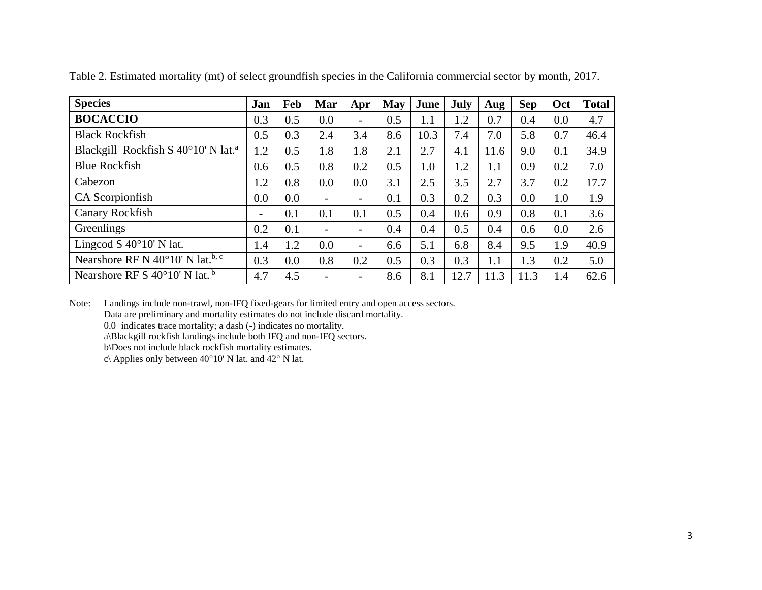| <b>Species</b>                                        | Jan               | Feb | Mar                      | Apr                      | May | June | July | Aug  | <b>Sep</b> | Oct | <b>Total</b> |
|-------------------------------------------------------|-------------------|-----|--------------------------|--------------------------|-----|------|------|------|------------|-----|--------------|
| <b>BOCACCIO</b>                                       | 0.3               | 0.5 | 0.0                      |                          | 0.5 | 1.1  | 1.2  | 0.7  | 0.4        | 0.0 | 4.7          |
| <b>Black Rockfish</b>                                 | 0.5               | 0.3 | 2.4                      | 3.4                      | 8.6 | 10.3 | 7.4  | 7.0  | 5.8        | 0.7 | 46.4         |
| Blackgill Rockfish S 40°10' N lat. <sup>a</sup>       | 1.2               | 0.5 | 1.8                      | 1.8                      | 2.1 | 2.7  | 4.1  | 11.6 | 9.0        | 0.1 | 34.9         |
| <b>Blue Rockfish</b>                                  | 0.6               | 0.5 | 0.8                      | 0.2                      | 0.5 | 1.0  | 1.2  | 1.1  | 0.9        | 0.2 | 7.0          |
| Cabezon                                               | 1.2               | 0.8 | 0.0                      | 0.0                      | 3.1 | 2.5  | 3.5  | 2.7  | 3.7        | 0.2 | 17.7         |
| CA Scorpionfish                                       | 0.0               | 0.0 | $\overline{\phantom{0}}$ | $\overline{\phantom{0}}$ | 0.1 | 0.3  | 0.2  | 0.3  | 0.0        | 1.0 | 1.9          |
| <b>Canary Rockfish</b>                                | $\qquad \qquad =$ | 0.1 | 0.1                      | 0.1                      | 0.5 | 0.4  | 0.6  | 0.9  | 0.8        | 0.1 | 3.6          |
| Greenlings                                            | 0.2               | 0.1 | Ξ.                       | $\overline{\phantom{0}}$ | 0.4 | 0.4  | 0.5  | 0.4  | 0.6        | 0.0 | 2.6          |
| Lingcod S $40^{\circ}10'$ N lat.                      | 1.4               | 1.2 | 0.0                      | $\overline{\phantom{0}}$ | 6.6 | 5.1  | 6.8  | 8.4  | 9.5        | 1.9 | 40.9         |
| Nearshore RF N $40^{\circ}10'$ N lat. <sup>b, c</sup> | 0.3               | 0.0 | 0.8                      | 0.2                      | 0.5 | 0.3  | 0.3  | 1.1  | 1.3        | 0.2 | 5.0          |
| Nearshore RF S $40^{\circ}10'$ N lat. <sup>b</sup>    | 4.7               | 4.5 | $\overline{\phantom{0}}$ | $\overline{\phantom{a}}$ | 8.6 | 8.1  | 12.7 | 11.3 | 11.3       | 1.4 | 62.6         |

Table 2. Estimated mortality (mt) of select groundfish species in the California commercial sector by month, 2017.

<span id="page-2-0"></span>Note: Landings include non-trawl, non-IFQ fixed-gears for limited entry and open access sectors.

Data are preliminary and mortality estimates do not include discard mortality.

0.0 indicates trace mortality; a dash (-) indicates no mortality.

a\Blackgill rockfish landings include both IFQ and non-IFQ sectors.

b\Does not include black rockfish mortality estimates.

c\ Applies only between  $40^{\circ}10'$  N lat. and  $42^{\circ}$  N lat.